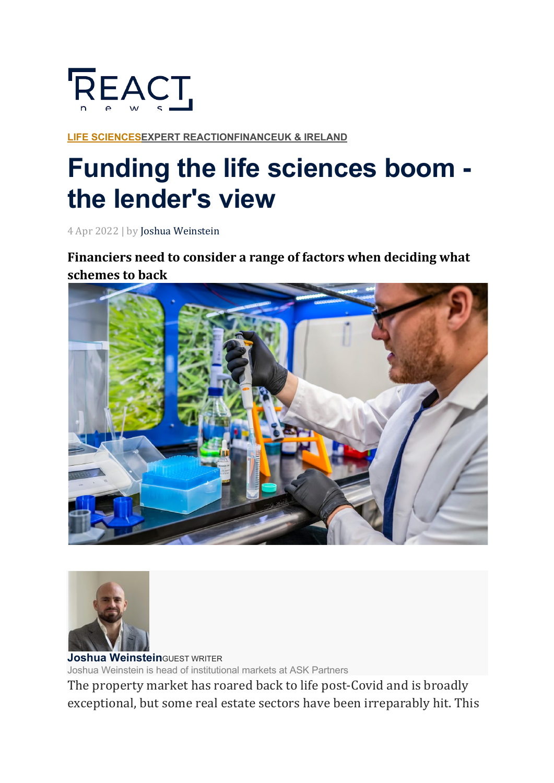

**LIFE SCIENCESEXPERT REACTIONFINANCEUK & IRELAND**

## **Funding the life sciences boom the lender's view**

4 Apr 2022 | by Joshua Weinstein

Financiers need to consider a range of factors when deciding what **schemes to back**





**Joshua Weinstein**GUEST WRITER Joshua Weinstein is head of institutional markets at ASK Partners

The property market has roared back to life post-Covid and is broadly exceptional, but some real estate sectors have been irreparably hit. This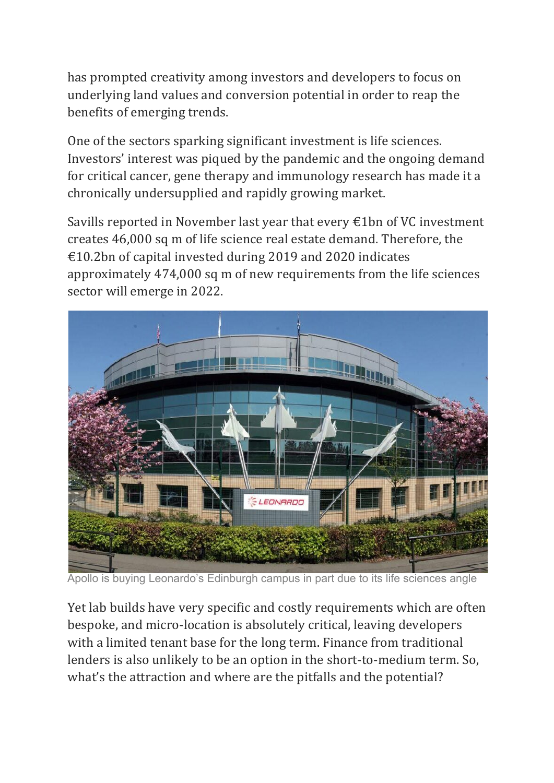has prompted creativity among investors and developers to focus on underlying land values and conversion potential in order to reap the benefits of emerging trends.

One of the sectors sparking significant investment is life sciences. Investors' interest was piqued by the pandemic and the ongoing demand for critical cancer, gene therapy and immunology research has made it a chronically undersupplied and rapidly growing market.

Savills reported in November last year that every  $\epsilon$ 1bn of VC investment creates 46,000 sq m of life science real estate demand. Therefore, the €10.2bn of capital invested during 2019 and 2020 indicates approximately 474,000 sq m of new requirements from the life sciences sector will emerge in 2022.



Apollo is buying Leonardo's Edinburgh campus in part due to its life sciences angle

Yet lab builds have very specific and costly requirements which are often bespoke, and micro-location is absolutely critical, leaving developers with a limited tenant base for the long term. Finance from traditional lenders is also unlikely to be an option in the short-to-medium term. So, what's the attraction and where are the pitfalls and the potential?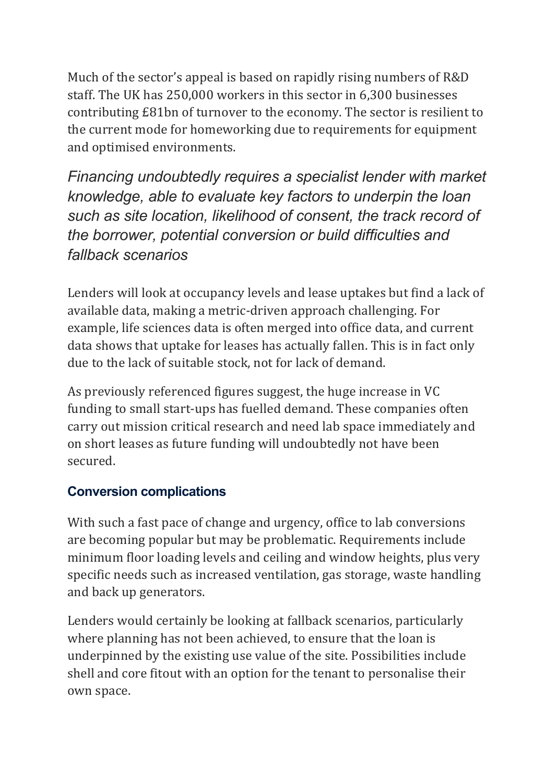Much of the sector's appeal is based on rapidly rising numbers of R&D staff. The UK has 250,000 workers in this sector in 6,300 businesses contributing £81bn of turnover to the economy. The sector is resilient to the current mode for homeworking due to requirements for equipment and optimised environments.

*Financing undoubtedly requires a specialist lender with market knowledge, able to evaluate key factors to underpin the loan such as site location, likelihood of consent, the track record of the borrower, potential conversion or build difficulties and fallback scenarios*

Lenders will look at occupancy levels and lease uptakes but find a lack of available data, making a metric-driven approach challenging. For example, life sciences data is often merged into office data, and current data shows that uptake for leases has actually fallen. This is in fact only due to the lack of suitable stock, not for lack of demand.

As previously referenced figures suggest, the huge increase in VC funding to small start-ups has fuelled demand. These companies often carry out mission critical research and need lab space immediately and on short leases as future funding will undoubtedly not have been secured.

## **Conversion complications**

With such a fast pace of change and urgency, office to lab conversions are becoming popular but may be problematic. Requirements include minimum floor loading levels and ceiling and window heights, plus very specific needs such as increased ventilation, gas storage, waste handling and back up generators.

Lenders would certainly be looking at fallback scenarios, particularly where planning has not been achieved, to ensure that the loan is underpinned by the existing use value of the site. Possibilities include shell and core fitout with an option for the tenant to personalise their own space.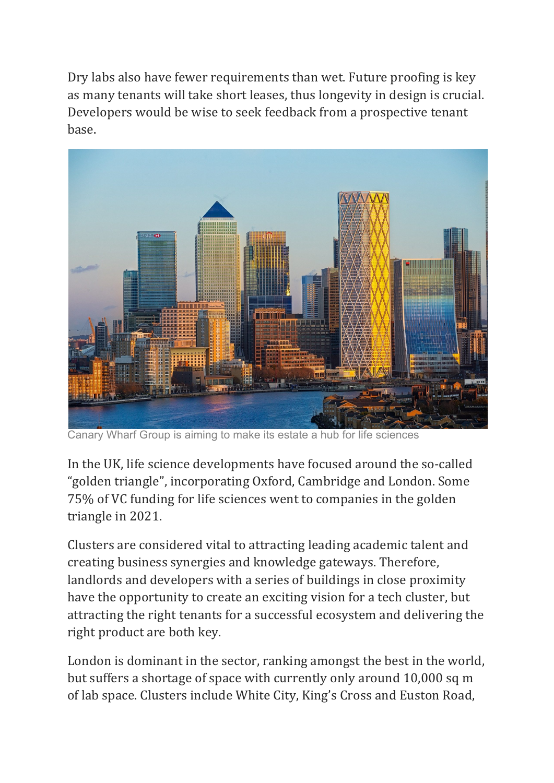Dry labs also have fewer requirements than wet. Future proofing is key as many tenants will take short leases, thus longevity in design is crucial. Developers would be wise to seek feedback from a prospective tenant base.



Canary Wharf Group is aiming to make its estate a hub for life sciences

In the UK, life science developments have focused around the so-called "golden triangle", incorporating Oxford, Cambridge and London. Some 75% of VC funding for life sciences went to companies in the golden triangle in 2021.

Clusters are considered vital to attracting leading academic talent and creating business synergies and knowledge gateways. Therefore, landlords and developers with a series of buildings in close proximity have the opportunity to create an exciting vision for a tech cluster, but attracting the right tenants for a successful ecosystem and delivering the right product are both key.

London is dominant in the sector, ranking amongst the best in the world, but suffers a shortage of space with currently only around 10,000 sq m of lab space. Clusters include White City, King's Cross and Euston Road,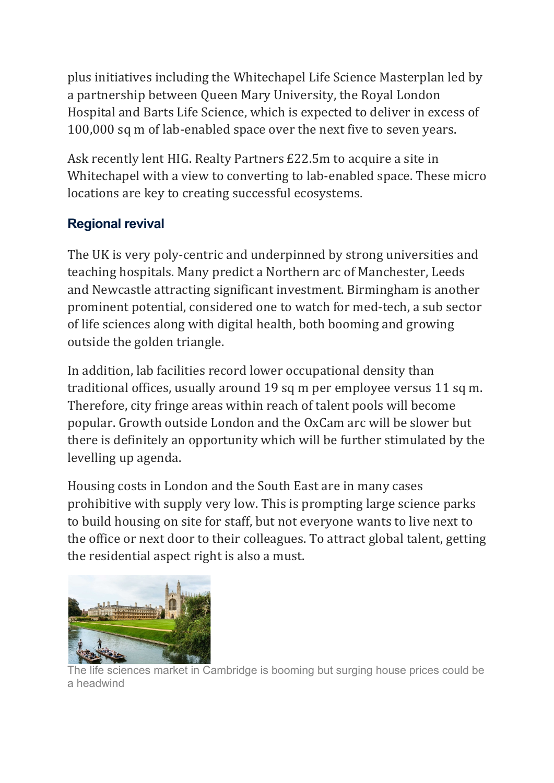plus initiatives including the Whitechapel Life Science Masterplan led by a partnership between Queen Mary University, the Royal London Hospital and Barts Life Science, which is expected to deliver in excess of 100,000 sq m of lab-enabled space over the next five to seven years.

Ask recently lent HIG. Realty Partners £22.5m to acquire a site in Whitechapel with a view to converting to lab-enabled space. These micro locations are key to creating successful ecosystems.

## **Regional revival**

The UK is very poly-centric and underpinned by strong universities and teaching hospitals. Many predict a Northern arc of Manchester, Leeds and Newcastle attracting significant investment. Birmingham is another prominent potential, considered one to watch for med-tech, a sub sector of life sciences along with digital health, both booming and growing outside the golden triangle.

In addition, lab facilities record lower occupational density than traditional offices, usually around 19 sq m per employee versus 11 sq m. Therefore, city fringe areas within reach of talent pools will become popular. Growth outside London and the OxCam arc will be slower but there is definitely an opportunity which will be further stimulated by the levelling up agenda.

Housing costs in London and the South East are in many cases prohibitive with supply very low. This is prompting large science parks to build housing on site for staff, but not everyone wants to live next to the office or next door to their colleagues. To attract global talent, getting the residential aspect right is also a must.



life sciences market in Cambridge is booming but surging house prices could be a headwind